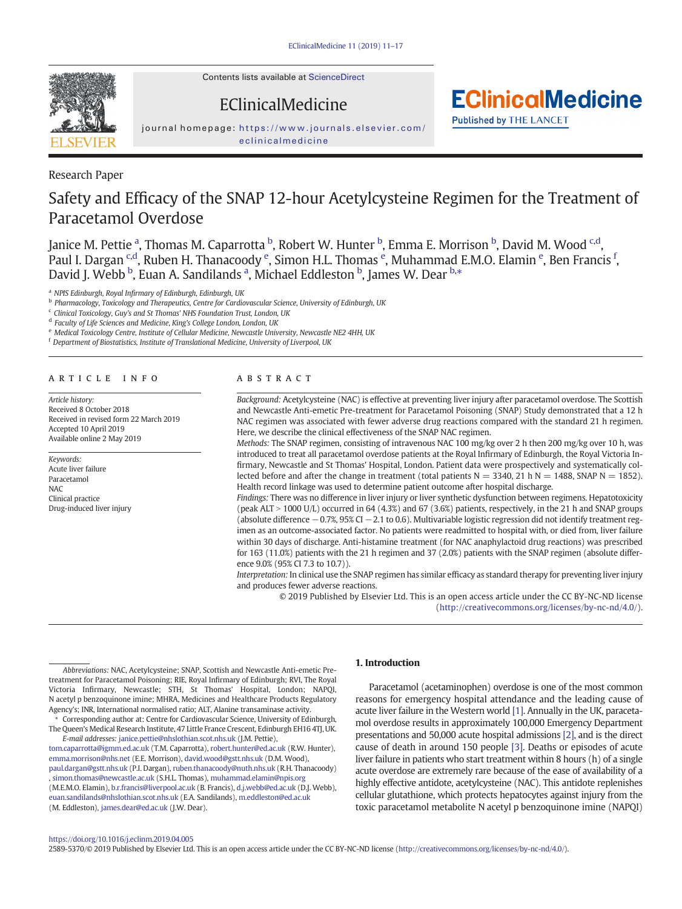Contents lists available at [ScienceDirect](http://www.sciencedirect.com/science/journal/25895370)

journal homepage: [https://www.journals.elsevier.com/](https://www.journals.elsevier.com/eclinicalmedicine) [eclinicalmedicine](https://www.journals.elsevier.com/eclinicalmedicine)

EClinicalMedicine

## Research Paper

# Safety and Efficacy of the SNAP 12-hour Acetylcysteine Regimen for the Treatment of Paracetamol Overdose

Janice M. Pettie <sup>a</sup>, Thomas M. Caparrotta <sup>b</sup>, Robert W. Hunter <sup>b</sup>, Emma E. Morrison <sup>b</sup>, David M. Wood <sup>c,d</sup>, Paul I. Dargan <sup>c,d</sup>, Ruben H. Thanacoody <sup>e</sup>, Simon H.L. Thomas <sup>e</sup>, Muhammad E.M.O. Elamin <sup>e</sup>, Ben Francis <sup>f</sup>, David J. Webb  $\frac{b}{r}$ , Euan A. Sandilands <sup>a</sup>, Michael Eddleston  $\frac{b}{r}$ , James W. Dear  $\frac{b}{r}$ ,  $\frac{c}{r}$ 

<sup>a</sup> NPIS Edinburgh, Royal Infirmary of Edinburgh, Edinburgh, UK

b Pharmacology, Toxicology and Therapeutics, Centre for Cardiovascular Science, University of Edinburgh, UK

<sup>c</sup> Clinical Toxicology, Guy's and St Thomas' NHS Foundation Trust, London, UK

<sup>d</sup> Faculty of Life Sciences and Medicine, King's College London, London, UK

<sup>e</sup> Medical Toxicology Centre, Institute of Cellular Medicine, Newcastle University, Newcastle NE2 4HH, UK

<sup>f</sup> Department of Biostatistics, Institute of Translational Medicine, University of Liverpool, UK

#### article info abstract

Article history: Received 8 October 2018 Received in revised form 22 March 2019 Accepted 10 April 2019 Available online 2 May 2019

Keywords: Acute liver failure Paracetamol NAC Clinical practice Drug-induced liver injury

Background: Acetylcysteine (NAC) is effective at preventing liver injury after paracetamol overdose. The Scottish and Newcastle Anti-emetic Pre-treatment for Paracetamol Poisoning (SNAP) Study demonstrated that a 12 h NAC regimen was associated with fewer adverse drug reactions compared with the standard 21 h regimen. Here, we describe the clinical effectiveness of the SNAP NAC regimen.

**EClinicalMedicine** 

**Published by THE LANCET** 

Methods: The SNAP regimen, consisting of intravenous NAC 100 mg/kg over 2 h then 200 mg/kg over 10 h, was introduced to treat all paracetamol overdose patients at the Royal Infirmary of Edinburgh, the Royal Victoria Infirmary, Newcastle and St Thomas' Hospital, London. Patient data were prospectively and systematically collected before and after the change in treatment (total patients  $N = 3340$ , 21 h  $N = 1488$ , SNAP  $N = 1852$ ). Health record linkage was used to determine patient outcome after hospital discharge.

Findings: There was no difference in liver injury or liver synthetic dysfunction between regimens. Hepatotoxicity (peak ALT  $>$  1000 U/L) occurred in 64 (4.3%) and 67 (3.6%) patients, respectively, in the 21 h and SNAP groups (absolute difference −0.7%, 95% CI −2.1 to 0.6). Multivariable logistic regression did not identify treatment regimen as an outcome-associated factor. No patients were readmitted to hospital with, or died from, liver failure within 30 days of discharge. Anti-histamine treatment (for NAC anaphylactoid drug reactions) was prescribed for 163 (11.0%) patients with the 21 h regimen and 37 (2.0%) patients with the SNAP regimen (absolute difference 9.0% (95% CI 7.3 to 10.7)).

Interpretation: In clinical use the SNAP regimen has similar efficacy as standard therapy for preventing liver injury and produces fewer adverse reactions.

© 2019 Published by Elsevier Ltd. This is an open access article under the CC BY-NC-ND license ([http://creativecommons.org/licenses/by-nc-nd/4.0/\)](http://creativecommons.org/licenses/by-nc-nd/4.0/).

Abbreviations: NAC, Acetylcysteine; SNAP, Scottish and Newcastle Anti-emetic Pretreatment for Paracetamol Poisoning; RIE, Royal Infirmary of Edinburgh; RVI, The Royal Victoria Infirmary, Newcastle; STH, St Thomas' Hospital, London; NAPQI, N acetyl p benzoquinone imine; MHRA, Medicines and Healthcare Products Regulatory Agency's; INR, International normalised ratio; ALT, Alanine transaminase activity.

Corresponding author at: Centre for Cardiovascular Science, University of Edinburgh, The Queen's Medical Research Institute, 47 Little France Crescent, Edinburgh EH16 4TJ, UK. E-mail addresses: janice.pettie@nhslothian.scot.nhs.uk (J.M. Pettie),

tom.caparrotta@igmm.ed.ac.uk (T.M. Caparrotta), robert.hunter@ed.ac.uk (R.W. Hunter), emma.morrison@nhs.net (E.E. Morrison), david.wood@gstt.nhs.uk (D.M. Wood), paul.dargan@gstt.nhs.uk (P.I. Dargan), ruben.thanacoody@nuth.nhs.uk (R.H. Thanacoody) , simon.thomas@newcastle.ac.uk (S.H.L. Thomas), muhammad.elamin@npis.org (M.E.M.O. Elamin), b.r.francis@liverpool.ac.uk (B. Francis), d.j.webb@ed.ac.uk (D.J. Webb), euan.sandilands@nhslothian.scot.nhs.uk (E.A. Sandilands), m.eddleston@ed.ac.uk (M. Eddleston), <james.dear@ed.ac.uk> (J.W. Dear).

### 1. Introduction

Paracetamol (acetaminophen) overdose is one of the most common reasons for emergency hospital attendance and the leading cause of acute liver failure in the Western world [\[1\]](#page-6-0). Annually in the UK, paracetamol overdose results in approximately 100,000 Emergency Department presentations and 50,000 acute hospital admissions [\[2\]](#page-6-0), and is the direct cause of death in around 150 people [\[3\].](#page-6-0) Deaths or episodes of acute liver failure in patients who start treatment within 8 hours (h) of a single acute overdose are extremely rare because of the ease of availability of a highly effective antidote, acetylcysteine (NAC). This antidote replenishes cellular glutathione, which protects hepatocytes against injury from the toxic paracetamol metabolite N acetyl p benzoquinone imine (NAPQI)

#### <https://doi.org/10.1016/j.eclinm.2019.04.005>

2589-5370/© 2019 Published by Elsevier Ltd. This is an open access article under the CC BY-NC-ND license [\(http://creativecommons.org/licenses/by-nc-nd/4.0/\)](http://creativecommons.org/licenses/by-nc-nd/4.0/).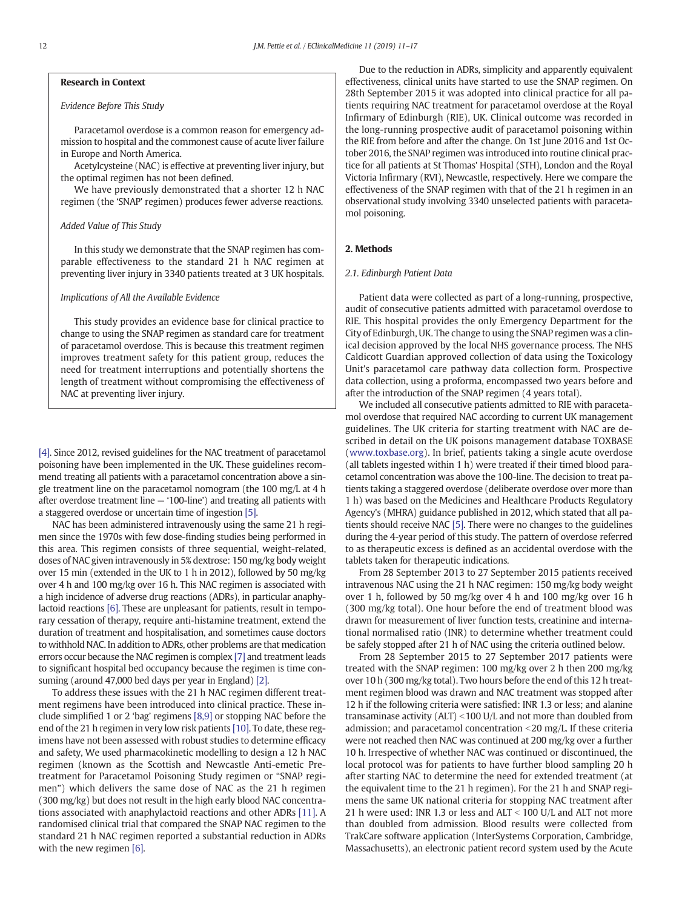### Research in Context

#### Evidence Before This Study

Paracetamol overdose is a common reason for emergency admission to hospital and the commonest cause of acute liver failure in Europe and North America.

Acetylcysteine (NAC) is effective at preventing liver injury, but the optimal regimen has not been defined.

We have previously demonstrated that a shorter 12 h NAC regimen (the 'SNAP' regimen) produces fewer adverse reactions.

#### Added Value of This Study

In this study we demonstrate that the SNAP regimen has comparable effectiveness to the standard 21 h NAC regimen at preventing liver injury in 3340 patients treated at 3 UK hospitals.

#### Implications of All the Available Evidence

This study provides an evidence base for clinical practice to change to using the SNAP regimen as standard care for treatment of paracetamol overdose. This is because this treatment regimen improves treatment safety for this patient group, reduces the need for treatment interruptions and potentially shortens the length of treatment without compromising the effectiveness of NAC at preventing liver injury.

[\[4\]](#page-6-0). Since 2012, revised guidelines for the NAC treatment of paracetamol poisoning have been implemented in the UK. These guidelines recommend treating all patients with a paracetamol concentration above a single treatment line on the paracetamol nomogram (the 100 mg/L at 4 h after overdose treatment line — '100-line') and treating all patients with a staggered overdose or uncertain time of ingestion [\[5\].](#page-6-0)

NAC has been administered intravenously using the same 21 h regimen since the 1970s with few dose-finding studies being performed in this area. This regimen consists of three sequential, weight-related, doses of NAC given intravenously in 5% dextrose: 150 mg/kg body weight over 15 min (extended in the UK to 1 h in 2012), followed by 50 mg/kg over 4 h and 100 mg/kg over 16 h. This NAC regimen is associated with a high incidence of adverse drug reactions (ADRs), in particular anaphylactoid reactions [\[6\]](#page-6-0). These are unpleasant for patients, result in temporary cessation of therapy, require anti-histamine treatment, extend the duration of treatment and hospitalisation, and sometimes cause doctors to withhold NAC. In addition to ADRs, other problems are that medication errors occur because the NAC regimen is complex [\[7\]](#page-6-0) and treatment leads to significant hospital bed occupancy because the regimen is time consuming (around 47,000 bed days per year in England) [\[2\]](#page-6-0).

To address these issues with the 21 h NAC regimen different treatment regimens have been introduced into clinical practice. These include simplified 1 or 2 'bag' regimens [\[8,9\]](#page-6-0) or stopping NAC before the end of the 21 h regimen in very low risk patients [\[10\]](#page-6-0). To date, these regimens have not been assessed with robust studies to determine efficacy and safety, We used pharmacokinetic modelling to design a 12 h NAC regimen (known as the Scottish and Newcastle Anti-emetic Pretreatment for Paracetamol Poisoning Study regimen or "SNAP regimen") which delivers the same dose of NAC as the 21 h regimen (300 mg/kg) but does not result in the high early blood NAC concentrations associated with anaphylactoid reactions and other ADRs [\[11\]](#page-6-0). A randomised clinical trial that compared the SNAP NAC regimen to the standard 21 h NAC regimen reported a substantial reduction in ADRs with the new regimen [\[6\]](#page-6-0).

Due to the reduction in ADRs, simplicity and apparently equivalent effectiveness, clinical units have started to use the SNAP regimen. On 28th September 2015 it was adopted into clinical practice for all patients requiring NAC treatment for paracetamol overdose at the Royal Infirmary of Edinburgh (RIE), UK. Clinical outcome was recorded in the long-running prospective audit of paracetamol poisoning within the RIE from before and after the change. On 1st June 2016 and 1st October 2016, the SNAP regimen was introduced into routine clinical practice for all patients at St Thomas' Hospital (STH), London and the Royal Victoria Infirmary (RVI), Newcastle, respectively. Here we compare the effectiveness of the SNAP regimen with that of the 21 h regimen in an observational study involving 3340 unselected patients with paracetamol poisoning.

#### 2. Methods

#### 2.1. Edinburgh Patient Data

Patient data were collected as part of a long-running, prospective, audit of consecutive patients admitted with paracetamol overdose to RIE. This hospital provides the only Emergency Department for the City of Edinburgh, UK. The change to using the SNAP regimen was a clinical decision approved by the local NHS governance process. The NHS Caldicott Guardian approved collection of data using the Toxicology Unit's paracetamol care pathway data collection form. Prospective data collection, using a proforma, encompassed two years before and after the introduction of the SNAP regimen (4 years total).

We included all consecutive patients admitted to RIE with paracetamol overdose that required NAC according to current UK management guidelines. The UK criteria for starting treatment with NAC are described in detail on the UK poisons management database TOXBASE [\(www.toxbase.org](http://www.toxbase.org)). In brief, patients taking a single acute overdose (all tablets ingested within 1 h) were treated if their timed blood paracetamol concentration was above the 100-line. The decision to treat patients taking a staggered overdose (deliberate overdose over more than 1 h) was based on the Medicines and Healthcare Products Regulatory Agency's (MHRA) guidance published in 2012, which stated that all patients should receive NAC [\[5\].](#page-6-0) There were no changes to the guidelines during the 4-year period of this study. The pattern of overdose referred to as therapeutic excess is defined as an accidental overdose with the tablets taken for therapeutic indications.

From 28 September 2013 to 27 September 2015 patients received intravenous NAC using the 21 h NAC regimen: 150 mg/kg body weight over 1 h, followed by 50 mg/kg over 4 h and 100 mg/kg over 16 h (300 mg/kg total). One hour before the end of treatment blood was drawn for measurement of liver function tests, creatinine and international normalised ratio (INR) to determine whether treatment could be safely stopped after 21 h of NAC using the criteria outlined below.

From 28 September 2015 to 27 September 2017 patients were treated with the SNAP regimen: 100 mg/kg over 2 h then 200 mg/kg over 10 h (300 mg/kg total). Two hours before the end of this 12 h treatment regimen blood was drawn and NAC treatment was stopped after 12 h if the following criteria were satisfied: INR 1.3 or less; and alanine transaminase activity  $(ALT) < 100$  U/L and not more than doubled from admission; and paracetamol concentration  $<$  20 mg/L. If these criteria were not reached then NAC was continued at 200 mg/kg over a further 10 h. Irrespective of whether NAC was continued or discontinued, the local protocol was for patients to have further blood sampling 20 h after starting NAC to determine the need for extended treatment (at the equivalent time to the 21 h regimen). For the 21 h and SNAP regimens the same UK national criteria for stopping NAC treatment after 21 h were used: INR 1.3 or less and ALT  $<$  100 U/L and ALT not more than doubled from admission. Blood results were collected from TrakCare software application (InterSystems Corporation, Cambridge, Massachusetts), an electronic patient record system used by the Acute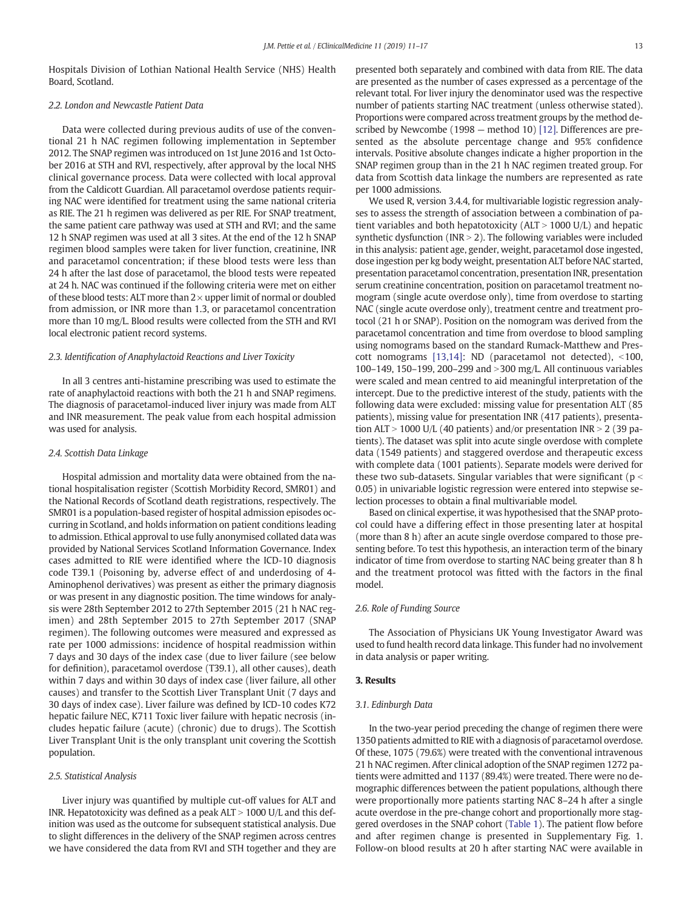Hospitals Division of Lothian National Health Service (NHS) Health Board, Scotland.

#### 2.2. London and Newcastle Patient Data

Data were collected during previous audits of use of the conventional 21 h NAC regimen following implementation in September 2012. The SNAP regimen was introduced on 1st June 2016 and 1st October 2016 at STH and RVI, respectively, after approval by the local NHS clinical governance process. Data were collected with local approval from the Caldicott Guardian. All paracetamol overdose patients requiring NAC were identified for treatment using the same national criteria as RIE. The 21 h regimen was delivered as per RIE. For SNAP treatment, the same patient care pathway was used at STH and RVI; and the same 12 h SNAP regimen was used at all 3 sites. At the end of the 12 h SNAP regimen blood samples were taken for liver function, creatinine, INR and paracetamol concentration; if these blood tests were less than 24 h after the last dose of paracetamol, the blood tests were repeated at 24 h. NAC was continued if the following criteria were met on either of these blood tests: ALT more than  $2 \times$  upper limit of normal or doubled from admission, or INR more than 1.3, or paracetamol concentration more than 10 mg/L. Blood results were collected from the STH and RVI local electronic patient record systems.

#### 2.3. Identification of Anaphylactoid Reactions and Liver Toxicity

In all 3 centres anti-histamine prescribing was used to estimate the rate of anaphylactoid reactions with both the 21 h and SNAP regimens. The diagnosis of paracetamol-induced liver injury was made from ALT and INR measurement. The peak value from each hospital admission was used for analysis.

#### 2.4. Scottish Data Linkage

Hospital admission and mortality data were obtained from the national hospitalisation register (Scottish Morbidity Record, SMR01) and the National Records of Scotland death registrations, respectively. The SMR01 is a population-based register of hospital admission episodes occurring in Scotland, and holds information on patient conditions leading to admission. Ethical approval to use fully anonymised collated data was provided by National Services Scotland Information Governance. Index cases admitted to RIE were identified where the ICD-10 diagnosis code T39.1 (Poisoning by, adverse effect of and underdosing of 4- Aminophenol derivatives) was present as either the primary diagnosis or was present in any diagnostic position. The time windows for analysis were 28th September 2012 to 27th September 2015 (21 h NAC regimen) and 28th September 2015 to 27th September 2017 (SNAP regimen). The following outcomes were measured and expressed as rate per 1000 admissions: incidence of hospital readmission within 7 days and 30 days of the index case (due to liver failure (see below for definition), paracetamol overdose (T39.1), all other causes), death within 7 days and within 30 days of index case (liver failure, all other causes) and transfer to the Scottish Liver Transplant Unit (7 days and 30 days of index case). Liver failure was defined by ICD-10 codes K72 hepatic failure NEC, K711 Toxic liver failure with hepatic necrosis (includes hepatic failure (acute) (chronic) due to drugs). The Scottish Liver Transplant Unit is the only transplant unit covering the Scottish population.

#### 2.5. Statistical Analysis

Liver injury was quantified by multiple cut-off values for ALT and INR. Hepatotoxicity was defined as a peak  $ALT > 1000$  U/L and this definition was used as the outcome for subsequent statistical analysis. Due to slight differences in the delivery of the SNAP regimen across centres we have considered the data from RVI and STH together and they are presented both separately and combined with data from RIE. The data are presented as the number of cases expressed as a percentage of the relevant total. For liver injury the denominator used was the respective number of patients starting NAC treatment (unless otherwise stated). Proportions were compared across treatment groups by the method described by Newcombe (1998 — method 10) [\[12\].](#page-6-0) Differences are presented as the absolute percentage change and 95% confidence intervals. Positive absolute changes indicate a higher proportion in the SNAP regimen group than in the 21 h NAC regimen treated group. For data from Scottish data linkage the numbers are represented as rate per 1000 admissions.

We used R, version 3.4.4, for multivariable logistic regression analyses to assess the strength of association between a combination of patient variables and both hepatotoxicity ( $ALT > 1000$  U/L) and hepatic synthetic dysfunction (INR  $>$  2). The following variables were included in this analysis: patient age, gender, weight, paracetamol dose ingested, dose ingestion per kg body weight, presentation ALT before NAC started, presentation paracetamol concentration, presentation INR, presentation serum creatinine concentration, position on paracetamol treatment nomogram (single acute overdose only), time from overdose to starting NAC (single acute overdose only), treatment centre and treatment protocol (21 h or SNAP). Position on the nomogram was derived from the paracetamol concentration and time from overdose to blood sampling using nomograms based on the standard Rumack-Matthew and Prescott nomograms  $[13,14]$ : ND (paracetamol not detected), <100, 100–149, 150–199, 200–299 and >300 mg/L. All continuous variables were scaled and mean centred to aid meaningful interpretation of the intercept. Due to the predictive interest of the study, patients with the following data were excluded: missing value for presentation ALT (85 patients), missing value for presentation INR (417 patients), presentation ALT > 1000 U/L (40 patients) and/or presentation INR > 2 (39 patients). The dataset was split into acute single overdose with complete data (1549 patients) and staggered overdose and therapeutic excess with complete data (1001 patients). Separate models were derived for these two sub-datasets. Singular variables that were significant ( $p <$ 0.05) in univariable logistic regression were entered into stepwise selection processes to obtain a final multivariable model.

Based on clinical expertise, it was hypothesised that the SNAP protocol could have a differing effect in those presenting later at hospital (more than 8 h) after an acute single overdose compared to those presenting before. To test this hypothesis, an interaction term of the binary indicator of time from overdose to starting NAC being greater than 8 h and the treatment protocol was fitted with the factors in the final model.

#### 2.6. Role of Funding Source

The Association of Physicians UK Young Investigator Award was used to fund health record data linkage. This funder had no involvement in data analysis or paper writing.

### 3. Results

#### 3.1. Edinburgh Data

In the two-year period preceding the change of regimen there were 1350 patients admitted to RIE with a diagnosis of paracetamol overdose. Of these, 1075 (79.6%) were treated with the conventional intravenous 21 h NAC regimen. After clinical adoption of the SNAP regimen 1272 patients were admitted and 1137 (89.4%) were treated. There were no demographic differences between the patient populations, although there were proportionally more patients starting NAC 8–24 h after a single acute overdose in the pre-change cohort and proportionally more staggered overdoses in the SNAP cohort [\(Table 1](#page-3-0)). The patient flow before and after regimen change is presented in Supplementary Fig. 1. Follow-on blood results at 20 h after starting NAC were available in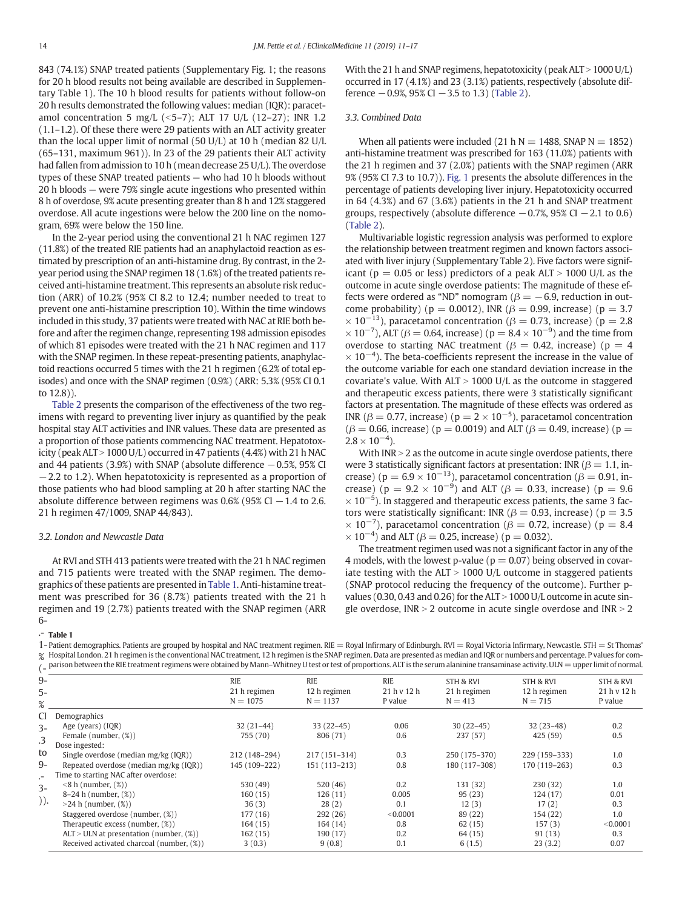<span id="page-3-0"></span>843 (74.1%) SNAP treated patients (Supplementary Fig. 1; the reasons for 20 h blood results not being available are described in Supplementary Table 1). The 10 h blood results for patients without follow-on 20 h results demonstrated the following values: median (IQR): paracetamol concentration 5 mg/L (<5–7); ALT 17 U/L (12–27); INR 1.2 (1.1–1.2). Of these there were 29 patients with an ALT activity greater than the local upper limit of normal (50 U/L) at 10 h (median 82 U/L (65–131, maximum 961)). In 23 of the 29 patients their ALT activity had fallen from admission to 10 h (mean decrease 25 U/L). The overdose types of these SNAP treated patients — who had 10 h bloods without 20 h bloods — were 79% single acute ingestions who presented within 8 h of overdose, 9% acute presenting greater than 8 h and 12% staggered overdose. All acute ingestions were below the 200 line on the nomogram, 69% were below the 150 line.

In the 2-year period using the conventional 21 h NAC regimen 127 (11.8%) of the treated RIE patients had an anaphylactoid reaction as estimated by prescription of an anti-histamine drug. By contrast, in the 2 year period using the SNAP regimen 18 (1.6%) of the treated patients received anti-histamine treatment. This represents an absolute risk reduction (ARR) of 10.2% (95% CI 8.2 to 12.4; number needed to treat to prevent one anti-histamine prescription 10). Within the time windows included in this study, 37 patients were treated with NAC at RIE both before and after the regimen change, representing 198 admission episodes of which 81 episodes were treated with the 21 h NAC regimen and 117 with the SNAP regimen. In these repeat-presenting patients, anaphylactoid reactions occurred 5 times with the 21 h regimen (6.2% of total episodes) and once with the SNAP regimen (0.9%) (ARR: 5.3% (95% CI 0.1 to 12.8)).

[Table 2](#page-4-0) presents the comparison of the effectiveness of the two regimens with regard to preventing liver injury as quantified by the peak hospital stay ALT activities and INR values. These data are presented as a proportion of those patients commencing NAC treatment. Hepatotoxicity (peak ALT  $> 1000$  U/L) occurred in 47 patients (4.4%) with 21 h NAC and 44 patients (3.9%) with SNAP (absolute difference −0.5%, 95% CI −2.2 to 1.2). When hepatotoxicity is represented as a proportion of those patients who had blood sampling at 20 h after starting NAC the absolute difference between regimens was  $0.6\%$  (95% CI  $-1.4$  to 2.6. 21 h regimen 47/1009, SNAP 44/843).

#### 3.2. London and Newcastle Data

At RVI and STH 413 patients were treated with the 21 h NAC regimen and 715 patients were treated with the SNAP regimen. The demographics of these patients are presented in Table 1. Anti-histamine treatment was prescribed for 36 (8.7%) patients treated with the 21 h regimen and 19 (2.7%) patients treated with the SNAP regimen (ARR 6With the 21 h and SNAP regimens, hepatotoxicity (peak  $ALT > 1000 U/L$ ) occurred in 17 (4.1%) and 23 (3.1%) patients, respectively (absolute difference  $-0.9$ %, 95% CI  $-3.5$  to 1.3) ([Table 2](#page-4-0)).

#### 3.3. Combined Data

When all patients were included (21 h  $N = 1488$ , SNAP  $N = 1852$ ) anti-histamine treatment was prescribed for 163 (11.0%) patients with the 21 h regimen and 37 (2.0%) patients with the SNAP regimen (ARR 9% (95% CI 7.3 to 10.7)). [Fig. 1](#page-4-0) presents the absolute differences in the percentage of patients developing liver injury. Hepatotoxicity occurred in 64 (4.3%) and 67 (3.6%) patients in the 21 h and SNAP treatment groups, respectively (absolute difference  $-0.7$ %, 95% CI  $-2.1$  to 0.6) [\(Table 2\)](#page-4-0).

Multivariable logistic regression analysis was performed to explore the relationship between treatment regimen and known factors associated with liver injury (Supplementary Table 2). Five factors were significant ( $p = 0.05$  or less) predictors of a peak ALT > 1000 U/L as the outcome in acute single overdose patients: The magnitude of these effects were ordered as "ND" nomogram ( $\beta = -6.9$ , reduction in outcome probability) ( $p = 0.0012$ ), INR ( $β = 0.99$ , increase) ( $p = 3.7$  $\times$  10<sup>-13</sup>), paracetamol concentration ( $\beta$  = 0.73, increase) (p = 2.8  $\times$  10<sup>-7</sup>), ALT ( $\beta$  = 0.64, increase) ( $p = 8.4 \times 10^{-9}$ ) and the time from overdose to starting NAC treatment ( $\beta = 0.42$ , increase) ( $p = 4$  $\times$  10<sup>-4</sup>). The beta-coefficients represent the increase in the value of the outcome variable for each one standard deviation increase in the covariate's value. With  $ALT > 1000$  U/L as the outcome in staggered and therapeutic excess patients, there were 3 statistically significant factors at presentation. The magnitude of these effects was ordered as INR ( $\beta = 0.77$ , increase) ( $p = 2 \times 10^{-5}$ ), paracetamol concentration  $(β = 0.66, increase) (p = 0.0019)$  and ALT  $(β = 0.49, increase) (p = 0.66)$  $2.8 \times 10^{-4}$ ).

With  $INR > 2$  as the outcome in acute single overdose patients, there were 3 statistically significant factors at presentation: INR ( $\beta$  = 1.1, increase) ( $p = 6.9 \times 10^{-13}$ ), paracetamol concentration ( $\beta = 0.91$ , increase) ( $p = 9.2 \times 10^{-9}$ ) and ALT ( $\beta = 0.33$ , increase) ( $p = 9.6$  $\times$  10<sup>-5</sup>). In staggered and therapeutic excess patients, the same 3 factors were statistically significant: INR ( $\beta$  = 0.93, increase) ( $p = 3.5$  $\times$  10<sup>-7</sup>), paracetamol concentration ( $\beta$  = 0.72, increase) (p = 8.4  $\times$  10<sup>-4</sup>) and ALT ( $\beta$  = 0.25, increase) ( $p$  = 0.032).

The treatment regimen used was not a significant factor in any of the 4 models, with the lowest p-value ( $p = 0.07$ ) being observed in covariate testing with the  $ALT > 1000$  U/L outcome in staggered patients (SNAP protocol reducing the frequency of the outcome). Further pvalues (0.30, 0.43 and 0.26) for the ALT  $>$  1000 U/L outcome in acute single overdose,  $INR > 2$  outcome in acute single overdose and  $INR > 2$ 

 $-$ Table 1

1- Patient demographics. Patients are grouped by hospital and NAC treatment regimen. RIE = Royal Infirmary of Edinburgh. RVI = Royal Victoria Infirmary, Newcastle. STH = St Thomas' % Hospital London. 21 h regimen is the conventional NAC treatment, 12 h regimen is the SNAP regimen. Data are presented as median and IQR or numbers and percentage. P values for comparison between the RIE treatment regimens were obtained by Mann–Whitney U test or test of proportions. ALT is the serum alaninine transaminase activity. ULN = upper limit of normal.

|       | $\ell_\texttt{m}$ parison between the Kie treatment regimens were obtained by Mann–Winthey O test of test of proportions. All is the serum alammine transammase activity. Oliv = upper mint of normal. |               |               |             |               |                      |             |
|-------|--------------------------------------------------------------------------------------------------------------------------------------------------------------------------------------------------------|---------------|---------------|-------------|---------------|----------------------|-------------|
| $9-$  |                                                                                                                                                                                                        | <b>RIE</b>    | <b>RIE</b>    | <b>RIE</b>  | STH & RVI     | <b>STH &amp; RVI</b> | STH & RVI   |
| $5-$  |                                                                                                                                                                                                        | 21 h regimen  | 12 h regimen  | 21 h v 12 h | 21 h regimen  | 12 h regimen         | 21 h v 12 h |
| $\%$  |                                                                                                                                                                                                        | $N = 1075$    | $N = 1137$    | P value     | $N = 413$     | $N = 715$            | P value     |
| CI    | Demographics                                                                                                                                                                                           |               |               |             |               |                      |             |
| $3 -$ | Age (years) (IQR)                                                                                                                                                                                      | $32(21-44)$   | $33(22-45)$   | 0.06        | $30(22-45)$   | $32(23-48)$          | 0.2         |
| .3    | Female (number, (%))                                                                                                                                                                                   | 755 (70)      | 806 (71)      | 0.6         | 237(57)       | 425 (59)             | 0.5         |
|       | Dose ingested:                                                                                                                                                                                         |               |               |             |               |                      |             |
| to    | Single overdose (median mg/kg (IQR))                                                                                                                                                                   | 212 (148-294) | 217 (151-314) | 0.3         | 250 (175-370) | 229 (159-333)        | 1.0         |
| 9-    | Repeated overdose (median mg/kg (IQR))                                                                                                                                                                 | 145 (109-222) | 151 (113-213) | 0.8         | 180 (117-308) | 170 (119-263)        | 0.3         |
| Н.    | Time to starting NAC after overdose:                                                                                                                                                                   |               |               |             |               |                      |             |
| $3-$  | $\leq$ 8 h (number, $(\%)$ )                                                                                                                                                                           | 530 (49)      | 520 (46)      | 0.2         | 131 (32)      | 230(32)              | 1.0         |
|       | $8-24$ h (number, $(\%)$ )                                                                                                                                                                             | 160(15)       | 126(11)       | 0.005       | 95(23)        | 124(17)              | 0.01        |
| )).   | $>24$ h (number, $(\%)$ )                                                                                                                                                                              | 36(3)         | 28(2)         | 0.1         | 12(3)         | 17(2)                | 0.3         |
|       | Staggered overdose (number, (%))                                                                                                                                                                       | 177 (16)      | 292(26)       | < 0.0001    | 89 (22)       | 154 (22)             | 1.0         |
|       | Therapeutic excess (number, (%))                                                                                                                                                                       | 164(15)       | 164(14)       | 0.8         | 62(15)        | 157(3)               | < 0.0001    |
|       | $ALT > ULN$ at presentation (number, $(\%)$ )                                                                                                                                                          | 162(15)       | 190 (17)      | 0.2         | 64 (15)       | 91(13)               | 0.3         |
|       | Received activated charcoal (number, (%))                                                                                                                                                              | 3(0.3)        | 9(0.8)        | 0.1         | 6(1.5)        | 23(3.2)              | 0.07        |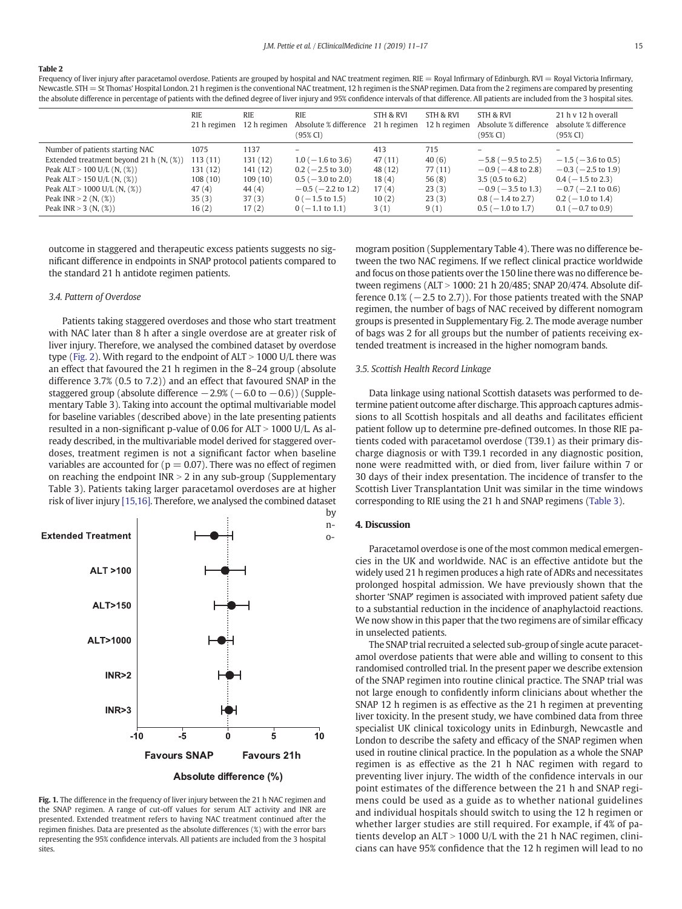<span id="page-4-0"></span>Frequency of liver injury after paracetamol overdose. Patients are grouped by hospital and NAC treatment regimen. RIE = Royal Infirmary of Edinburgh. RVI = Royal Victoria Infirmary, Newcastle. STH = St Thomas' Hospital London. 21 h regimen is the conventional NAC treatment, 12 h regimen is the SNAP regimen. Data from the 2 regimens are compared by presenting the absolute difference in percentage of patients with the defined degree of liver injury and 95% confidence intervals of that difference. All patients are included from the 3 hospital sites.

|                                         | <b>RIE</b><br>21 h regimen | <b>RIE</b><br>12 h regimen | <b>RIE</b><br>Absolute % difference<br>(95% CI) | STH & RVI<br>21 h regimen | STH & RVI<br>12 h regimen | STH & RVI<br>Absolute % difference<br>$(95\% \, \text{CI})$ | 21 h v 12 h overall<br>absolute % difference<br>$(95\% \, \text{CI})$ |
|-----------------------------------------|----------------------------|----------------------------|-------------------------------------------------|---------------------------|---------------------------|-------------------------------------------------------------|-----------------------------------------------------------------------|
| Number of patients starting NAC         | 1075                       | 1137                       | $\overline{\phantom{0}}$                        | 413                       | 715                       | $\overline{\phantom{0}}$                                    | $\overline{\phantom{a}}$                                              |
| Extended treatment beyond 21 h (N, (%)) | 113(11)                    | 131(12)                    | $1.0$ ( $-1.6$ to 3.6)                          | 47(11)                    | 40(6)                     | $-5.8$ ( $-9.5$ to 2.5)                                     | $-1.5$ ( $-3.6$ to 0.5)                                               |
| Peak ALT $> 100$ U/L (N, $(\%)$ )       | 131(12)                    | 141(12)                    | $0.2$ ( $-2.5$ to 3.0)                          | 48 (12)                   | 77(11)                    | $-0.9$ ( $-4.8$ to 2.8)                                     | $-0.3$ ( $-2.5$ to 1.9)                                               |
| Peak ALT $> 150$ U/L (N, $(\%)$ )       | 108(10)                    | 109(10)                    | $0.5$ ( $-3.0$ to 2.0)                          | 18(4)                     | 56(8)                     | $3.5(0.5 \text{ to } 6.2)$                                  | $0.4$ ( $-1.5$ to 2.3)                                                |
| Peak ALT $> 1000$ U/L (N, $(\%)$ )      | 47(4)                      | 44(4)                      | $-0.5$ ( $-2.2$ to 1.2)                         | 17(4)                     | 23(3)                     | $-0.9$ ( $-3.5$ to 1.3)                                     | $-0.7$ ( $-2.1$ to 0.6)                                               |
| Peak INR $> 2$ (N, $(\%)$ )             | 35(3)                      | 37(3)                      | $0(-1.5 \text{ to } 1.5)$                       | 10(2)                     | 23(3)                     | $0.8$ ( $-1.4$ to 2.7)                                      | $0.2$ ( $-1.0$ to 1.4)                                                |
| Peak INR $>$ 3 (N, $(\%)$ )             | 16(2)                      | 17(2)                      | $0$ ( $-1.1$ to 1.1)                            | 3(1)                      | 9(1)                      | $0.5$ ( $-1.0$ to 1.7)                                      | $0.1$ ( $-0.7$ to 0.9)                                                |

outcome in staggered and therapeutic excess patients suggests no significant difference in endpoints in SNAP protocol patients compared to the standard 21 h antidote regimen patients.

#### 3.4. Pattern of Overdose

Patients taking staggered overdoses and those who start treatment with NAC later than 8 h after a single overdose are at greater risk of liver injury. Therefore, we analysed the combined dataset by overdose type [\(Fig. 2\)](#page-5-0). With regard to the endpoint of  $ALT > 1000$  U/L there was an effect that favoured the 21 h regimen in the 8–24 group (absolute difference 3.7% (0.5 to 7.2)) and an effect that favoured SNAP in the staggered group (absolute difference  $-2.9% (-6.0 \text{ to } -0.6)$ ) (Supplementary Table 3). Taking into account the optimal multivariable model for baseline variables (described above) in the late presenting patients resulted in a non-significant p-value of 0.06 for ALT > 1000 U/L. As already described, in the multivariable model derived for staggered overdoses, treatment regimen is not a significant factor when baseline variables are accounted for ( $p = 0.07$ ). There was no effect of regimen on reaching the endpoint  $INR > 2$  in any sub-group (Supplementary Table 3). Patients taking larger paracetamol overdoses are at higher risk of liver injury [\[15,16\]](#page-6-0). Therefore, we analysed the combined dataset



Fig. 1. The difference in the frequency of liver injury between the 21 h NAC regimen and the SNAP regimen. A range of cut-off values for serum ALT activity and INR are presented. Extended treatment refers to having NAC treatment continued after the regimen finishes. Data are presented as the absolute differences (%) with the error bars representing the 95% confidence intervals. All patients are included from the 3 hospital sites.

mogram position (Supplementary Table 4). There was no difference between the two NAC regimens. If we reflect clinical practice worldwide and focus on those patients over the 150 line there was no difference between regimens ( $ALT > 1000$ : 21 h 20/485; SNAP 20/474. Absolute difference  $0.1\%$  ( $-2.5$  to 2.7)). For those patients treated with the SNAP regimen, the number of bags of NAC received by different nomogram groups is presented in Supplementary Fig. 2. The mode average number of bags was 2 for all groups but the number of patients receiving extended treatment is increased in the higher nomogram bands.

#### 3.5. Scottish Health Record Linkage

Data linkage using national Scottish datasets was performed to determine patient outcome after discharge. This approach captures admissions to all Scottish hospitals and all deaths and facilitates efficient patient follow up to determine pre-defined outcomes. In those RIE patients coded with paracetamol overdose (T39.1) as their primary discharge diagnosis or with T39.1 recorded in any diagnostic position, none were readmitted with, or died from, liver failure within 7 or 30 days of their index presentation. The incidence of transfer to the Scottish Liver Transplantation Unit was similar in the time windows corresponding to RIE using the 21 h and SNAP regimens ([Table 3](#page-5-0)).

#### 4. Discussion

Paracetamol overdose is one of the most common medical emergencies in the UK and worldwide. NAC is an effective antidote but the widely used 21 h regimen produces a high rate of ADRs and necessitates prolonged hospital admission. We have previously shown that the shorter 'SNAP' regimen is associated with improved patient safety due to a substantial reduction in the incidence of anaphylactoid reactions. We now show in this paper that the two regimens are of similar efficacy in unselected patients.

The SNAP trial recruited a selected sub-group of single acute paracetamol overdose patients that were able and willing to consent to this randomised controlled trial. In the present paper we describe extension of the SNAP regimen into routine clinical practice. The SNAP trial was not large enough to confidently inform clinicians about whether the SNAP 12 h regimen is as effective as the 21 h regimen at preventing liver toxicity. In the present study, we have combined data from three specialist UK clinical toxicology units in Edinburgh, Newcastle and London to describe the safety and efficacy of the SNAP regimen when used in routine clinical practice. In the population as a whole the SNAP regimen is as effective as the 21 h NAC regimen with regard to preventing liver injury. The width of the confidence intervals in our point estimates of the difference between the 21 h and SNAP regimens could be used as a guide as to whether national guidelines and individual hospitals should switch to using the 12 h regimen or whether larger studies are still required. For example, if 4% of patients develop an  $ALT > 1000$  U/L with the 21 h NAC regimen, clinicians can have 95% confidence that the 12 h regimen will lead to no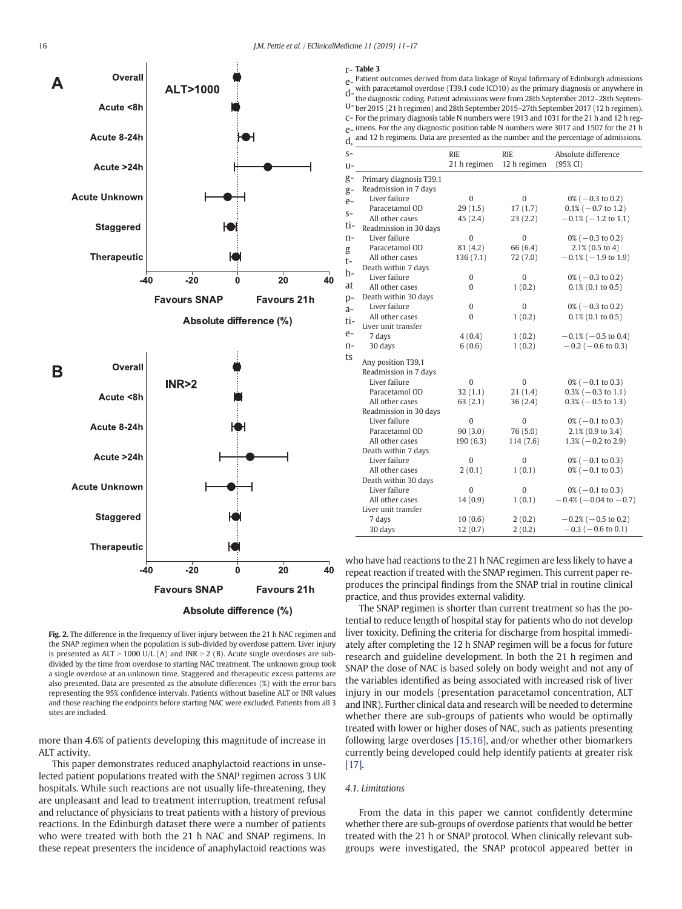<span id="page-5-0"></span>

e Patient outcomes derived from data linkage of Royal Infirmary of Edinburgh admissions d—with paracetamol overdose (T39.1 code ICD10) as the primary diagnosis or anywhere in<br>d—the diagnostic coding. Patient admissions were from 29th Sontember 2012, 29th Sontem u-ber 2015 (21 h regimen) and 28th September 2015–27th September 2017 (12 h regimen). c-For the primary diagnosis table N numbers were 1913 and 1031 for the 21 h and 12 h rege-imens. For the any diagnostic position table N numbers were 3017 and 1507 for the 21 h d, and 12 h regimens. Data are presented as the number and the percentage of admissions. the diagnostic coding. Patient admissions were from 28th September 2012–28th Septem-

| $S-$ |                         | <b>RIE</b>   | <b>RIE</b>   | Absolute difference            |
|------|-------------------------|--------------|--------------|--------------------------------|
| u-   |                         | 21 h regimen | 12 h regimen | $(95\%$ CI)                    |
| g-   | Primary diagnosis T39.1 |              |              |                                |
| g-   | Readmission in 7 days   |              |              |                                |
| $e-$ | Liver failure           | $\mathbf{0}$ | $\mathbf{0}$ | $0\%$ ( $-0.3$ to 0.2)         |
| $S-$ | Paracetamol OD          | 29(1.5)      | 17(1.7)      | $0.1\%$ (-0.7 to 1.2)          |
|      | All other cases         | 45(2.4)      | 23(2.2)      | $-0.1\%$ ( $-1.2$ to 1.1)      |
| ti-  | Readmission in 30 days  |              |              |                                |
| n-   | Liver failure           | 0            | 0            | $0\% (-0.3 \text{ to } 0.2)$   |
| g    | Paracetamol OD          | 81 (4.2)     | 66 (6.4)     | $2.1\%$ (0.5 to 4)             |
| t-   | All other cases         | 136(7.1)     | 72 (7.0)     | $-0.1\%$ ( $-1.9$ to 1.9)      |
| h-   | Death within 7 days     |              |              |                                |
|      | Liver failure           | 0            | 0            | $0\% (-0.3 \text{ to } 0.2)$   |
| at   | All other cases         | 0            | 1(0.2)       | $0.1\%$ (0.1 to 0.5)           |
| p-   | Death within 30 days    |              |              |                                |
| a-   | Liver failure           | $\mathbf{0}$ | 0            | $0\%$ ( $-0.3$ to 0.2)         |
| ti-  | All other cases         | 0            | 1(0.2)       | $0.1\%$ (0.1 to 0.5)           |
|      | Liver unit transfer     |              |              |                                |
| e-   | 7 days                  | 4(0.4)       | 1(0.2)       | $-0.1\%$ ( $-0.5$ to 0.4)      |
| n-   | 30 days                 | 6(0.6)       | 1(0.2)       | $-0.2$ ( $-0.6$ to 0.3)        |
| ts   | Any position T39.1      |              |              |                                |
|      | Readmission in 7 days   |              |              |                                |
|      | Liver failure           | 0            | $\Omega$     | $0\%$ ( $-0.1$ to 0.3)         |
|      | Paracetamol OD          | 32(1.1)      | 21(1.4)      | $0.3\%$ ( $-0.3$ to 1.1)       |
|      | All other cases         | 63(2.1)      | 36(2.4)      | $0.3\%$ ( $-0.5$ to 1.3)       |
|      | Readmission in 30 days  |              |              |                                |
|      | Liver failure           | $\mathbf{0}$ | $\mathbf{0}$ | $0\%$ ( $-0.1$ to 0.3)         |
|      | Paracetamol OD          | 90(3.0)      | 76 (5.0)     | 2.1% (0.9 to 3.4)              |
|      | All other cases         | 190(6.3)     | 114(7.6)     | $1.3\% (-0.2 \text{ to } 2.9)$ |
|      | Death within 7 days     |              |              |                                |
|      | Liver failure           | $\mathbf{0}$ | 0            | $0\%$ ( $-0.1$ to 0.3)         |
|      | All other cases         | 2(0.1)       | 1(0.1)       | $0\%$ (-0.1 to 0.3)            |
|      | Death within 30 days    |              |              |                                |
|      | Liver failure           | 0            | 0            | $0\%$ ( $-0.1$ to 0.3)         |
|      | All other cases         | 14(0.9)      | 1(0.1)       | $-0.4\%$ ( $-0.04$ to $-0.7$ ) |
|      | Liver unit transfer     |              |              |                                |
|      | 7 days                  | 10(0.6)      | 2(0.2)       | $-0.2\%$ ( $-0.5$ to 0.2)      |
|      | 30 days                 | 12(0.7)      | 2(0.2)       | $-0.3$ ( $-0.6$ to 0.1)        |
|      |                         |              |              |                                |

who have had reactions to the 21 h NAC regimen are less likely to have a repeat reaction if treated with the SNAP regimen. This current paper reproduces the principal findings from the SNAP trial in routine clinical practice, and thus provides external validity.

The SNAP regimen is shorter than current treatment so has the potential to reduce length of hospital stay for patients who do not develop liver toxicity. Defining the criteria for discharge from hospital immediately after completing the 12 h SNAP regimen will be a focus for future research and guideline development. In both the 21 h regimen and SNAP the dose of NAC is based solely on body weight and not any of the variables identified as being associated with increased risk of liver injury in our models (presentation paracetamol concentration, ALT and INR). Further clinical data and research will be needed to determine whether there are sub-groups of patients who would be optimally treated with lower or higher doses of NAC, such as patients presenting following large overdoses [\[15,16\],](#page-6-0) and/or whether other biomarkers currently being developed could help identify patients at greater risk [\[17\]](#page-6-0).

4.1. Limitations

From the data in this paper we cannot confidently determine whether there are sub-groups of overdose patients that would be better treated with the 21 h or SNAP protocol. When clinically relevant subgroups were investigated, the SNAP protocol appeared better in

Fig. 2. The difference in the frequency of liver injury between the 21 h NAC regimen and the SNAP regimen when the population is sub-divided by overdose pattern. Liver injury is presented as  $ALT > 1000$  U/L (A) and INR  $> 2$  (B). Acute single overdoses are subdivided by the time from overdose to starting NAC treatment. The unknown group took a single overdose at an unknown time. Staggered and therapeutic excess patterns are also presented. Data are presented as the absolute differences (%) with the error bars representing the 95% confidence intervals. Patients without baseline ALT or INR values and those reaching the endpoints before starting NAC were excluded. Patients from all 3 sites are included.

more than 4.6% of patients developing this magnitude of increase in ALT activity.

This paper demonstrates reduced anaphylactoid reactions in unselected patient populations treated with the SNAP regimen across 3 UK hospitals. While such reactions are not usually life-threatening, they are unpleasant and lead to treatment interruption, treatment refusal and reluctance of physicians to treat patients with a history of previous reactions. In the Edinburgh dataset there were a number of patients who were treated with both the 21 h NAC and SNAP regimens. In these repeat presenters the incidence of anaphylactoid reactions was r-Table 3